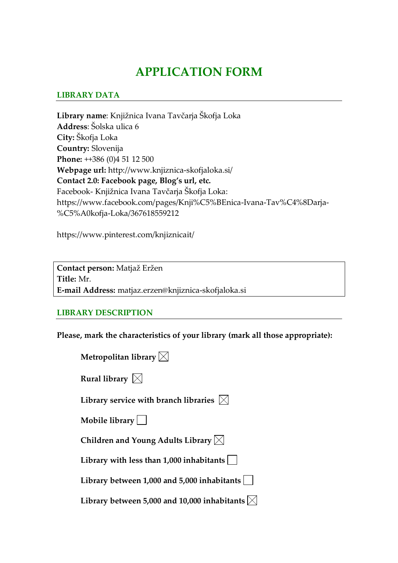# **APPLICATION FORM**

#### **LIBRARY DATA**

**Library name**: Knjižnica Ivana Tavčarja Škofja Loka **Address**: Šolska ulica 6 **City:** Škofja Loka **Country:** Slovenija **Phone:** ++386 (0)4 51 12 500 **Webpage url:** http://www.knjiznica-skofjaloka.si/ **Contact 2.0: Facebook page, Blog's url, etc.**  Facebook- Knjižnica Ivana Tavčarja Škofja Loka: https://www.facebook.com/pages/Knji%C5%BEnica-Ivana-Tav%C4%8Darja- %C5%A0kofja-Loka/367618559212

https://www.pinterest.com/knjiznicait/

**Contact person:** Matjaž Eržen **Title:** Mr. **E-mail Address:** matjaz.erzen@knjiznica-skofjaloka.si

#### **LIBRARY DESCRIPTION**

**Please, mark the characteristics of your library (mark all those appropriate):**

| Metropolitan library $\boxtimes$                       |
|--------------------------------------------------------|
| Rural library $\boxtimes$                              |
| Library service with branch libraries $ \times $       |
| Mobile library $  \  $                                 |
| Children and Young Adults Library $\boxtimes$          |
| Library with less than $1,000$ inhabitants             |
| Library between 1,000 and 5,000 inhabitants            |
| Library between 5,000 and 10,000 inhabitants $ \times$ |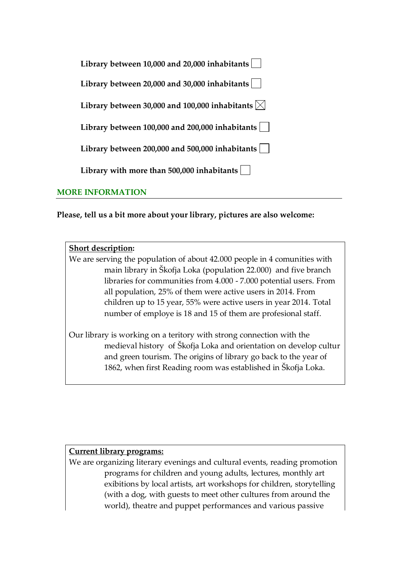| Library between 10,000 and 20,000 inhabitants                |
|--------------------------------------------------------------|
| Library between 20,000 and 30,000 inhabitants                |
| Library between 30,000 and 100,000 inhabitants $ \times $    |
| Library between 100,000 and 200,000 inhabitants              |
| Library between 200,000 and 500,000 inhabitants              |
| Library with more than 500,000 inhabitants $\vert \ \ \vert$ |

#### **MORE INFORMATION**

**Please, tell us a bit more about your library, pictures are also welcome:**

| <b>Short description:</b> |  |
|---------------------------|--|
|                           |  |

We are serving the population of about 42.000 people in 4 comunities with main library in Škofja Loka (population 22.000) and five branch libraries for communities from 4.000 - 7.000 potential users. From all population, 25% of them were active users in 2014. From children up to 15 year, 55% were active users in year 2014. Total number of employe is 18 and 15 of them are profesional staff.

Our library is working on a teritory with strong connection with the medieval history of Škofja Loka and orientation on develop cultur and green tourism. The origins of library go back to the year of 1862, when first Reading room was established in Škofja Loka.

#### **Current library programs:**

We are organizing literary evenings and cultural events, reading promotion programs for children and young adults, lectures, monthly art exibitions by local artists, art workshops for children, storytelling (with a dog, with guests to meet other cultures from around the world), theatre and puppet performances and various passive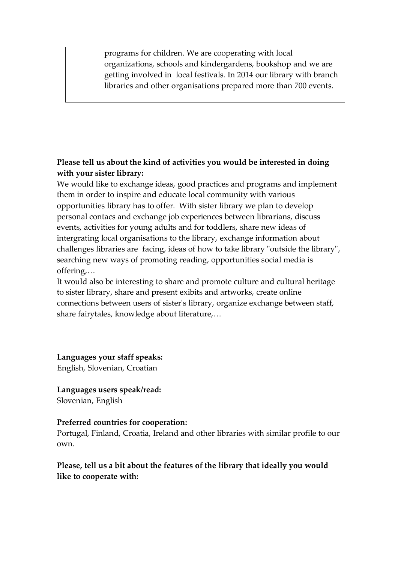programs for children. We are cooperating with local organizations, schools and kindergardens, bookshop and we are getting involved in local festivals. In 2014 our library with branch libraries and other organisations prepared more than 700 events.

## **Please tell us about the kind of activities you would be interested in doing with your sister library:**

We would like to exchange ideas, good practices and programs and implement them in order to inspire and educate local community with various opportunities library has to offer. With sister library we plan to develop personal contacs and exchange job experiences between librarians, discuss events, activities for young adults and for toddlers, share new ideas of intergrating local organisations to the library, exchange information about challenges libraries are facing, ideas of how to take library "outside the library", searching new ways of promoting reading, opportunities social media is offering,…

It would also be interesting to share and promote culture and cultural heritage to sister library, share and present exibits and artworks, create online connections between users of sister's library, organize exchange between staff, share fairytales, knowledge about literature,…

**Languages your staff speaks:** English, Slovenian, Croatian

**Languages users speak/read:** Slovenian, English

### **Preferred countries for cooperation:**

Portugal, Finland, Croatia, Ireland and other libraries with similar profile to our own.

**Please, tell us a bit about the features of the library that ideally you would like to cooperate with:**